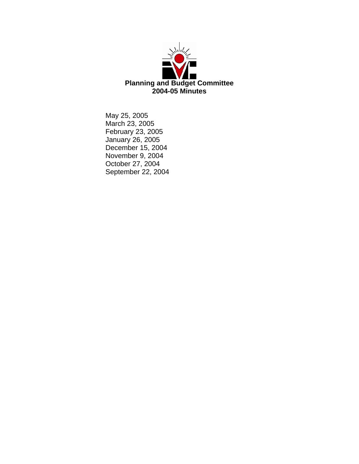

May 25, 2005 March 23, 2005 February 23, 2005 January 26, 2005 December 15, 2004 November 9, 2004 October 27, 2004 September 22, 2004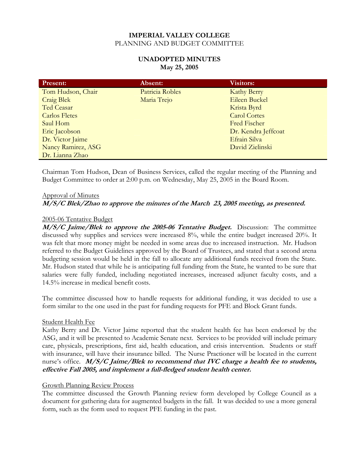## **UNADOPTED MINUTES May 25, 2005**

| <b>Present:</b>      | Absent:         | <b>Visitors:</b>    |
|----------------------|-----------------|---------------------|
| Tom Hudson, Chair    | Patricia Robles | <b>Kathy Berry</b>  |
| <b>Craig Blek</b>    | Maria Trejo     | Eileen Buckel       |
| Ted Ceasar           |                 | Krista Byrd         |
| <b>Carlos Fletes</b> |                 | <b>Carol Cortes</b> |
| Saul Hom             |                 | <b>Fred Fischer</b> |
| Eric Jacobson        |                 | Dr. Kendra Jeffcoat |
| Dr. Victor Jaime     |                 | Efrain Silva        |
| Nancy Ramirez, ASG   |                 | David Zielinski     |
| Dr. Lianna Zhao      |                 |                     |

Chairman Tom Hudson, Dean of Business Services, called the regular meeting of the Planning and Budget Committee to order at 2:00 p.m. on Wednesday, May 25, 2005 in the Board Room.

#### Approval of Minutes

## **M/S/C Blek/Zhao to approve the minutes of the March 23, 2005 meeting, as presented.**

#### 2005-06 Tentative Budget

**M/S/C Jaime/Blek to approve the 2005-06 Tentative Budget.** Discussion: The committee discussed why supplies and services were increased 8%, while the entire budget increased 20%. It was felt that more money might be needed in some areas due to increased instruction. Mr. Hudson referred to the Budget Guidelines approved by the Board of Trustees, and stated that a second arena budgeting session would be held in the fall to allocate any additional funds received from the State. Mr. Hudson stated that while he is anticipating full funding from the State, he wanted to be sure that salaries were fully funded, including negotiated increases, increased adjunct faculty costs, and a 14.5% increase in medical benefit costs.

The committee discussed how to handle requests for additional funding, it was decided to use a form similar to the one used in the past for funding requests for PFE and Block Grant funds.

#### Student Health Fee

Kathy Berry and Dr. Victor Jaime reported that the student health fee has been endorsed by the ASG, and it will be presented to Academic Senate next. Services to be provided will include primary care, physicals, prescriptions, first aid, health education, and crisis intervention. Students or staff with insurance, will have their insurance billed. The Nurse Practioner will be located in the current nurse's office. *M/S/C Jaime/Blek to recommend that IVC charge a health fee to students*, **effective Fall 2005, and implement a full-fledged student health center.** 

#### Growth Planning Review Process

The committee discussed the Growth Planning review form developed by College Council as a document for gathering data for augmented budgets in the fall. It was decided to use a more general form, such as the form used to request PFE funding in the past.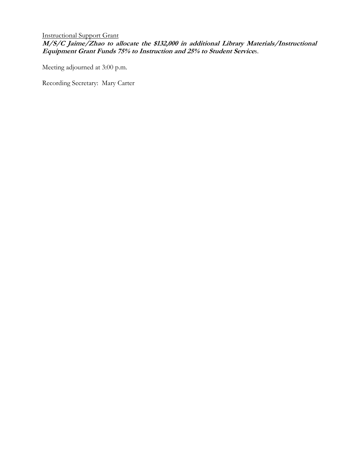Instructional Support Grant **M/S/C Jaime/Zhao to allocate the \$132,000 in additional Library Materials/Instructional Equipment Grant Funds 75% to Instruction and 25% to Student Service**s.

Meeting adjourned at 3:00 p.m.

Recording Secretary: Mary Carter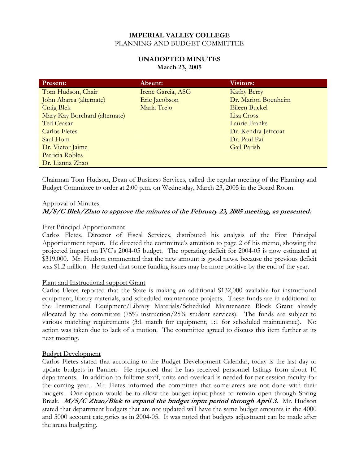## **UNADOPTED MINUTES March 23, 2005**

| <b>Present:</b>               | Absent:           | <b>Visitors:</b>    |
|-------------------------------|-------------------|---------------------|
| Tom Hudson, Chair             | Irene Garcia, ASG | <b>Kathy Berry</b>  |
| John Abarca (alternate)       | Eric Jacobson     | Dr. Marion Boenheim |
| <b>Craig Blek</b>             | Maria Trejo       | Eileen Buckel       |
| Mary Kay Borchard (alternate) |                   | Lisa Cross          |
| Ted Ceasar                    |                   | Laurie Franks       |
| Carlos Fletes                 |                   | Dr. Kendra Jeffcoat |
| Saul Hom                      |                   | Dr. Paul Pai        |
| Dr. Victor Jaime              |                   | Gail Parish         |
| Patricia Robles               |                   |                     |
| Dr. Lianna Zhao               |                   |                     |

Chairman Tom Hudson, Dean of Business Services, called the regular meeting of the Planning and Budget Committee to order at 2:00 p.m. on Wednesday, March 23, 2005 in the Board Room.

#### Approval of Minutes

## **M/S/C Blek/Zhao to approve the minutes of the February 23, 2005 meeting, as presented.**

#### First Principal Apportionment

Carlos Fletes, Director of Fiscal Services, distributed his analysis of the First Principal Apportionment report. He directed the committee's attention to page 2 of his memo, showing the projected impact on IVC's 2004-05 budget. The operating deficit for 2004-05 is now estimated at \$319,000. Mr. Hudson commented that the new amount is good news, because the previous deficit was \$1.2 million. He stated that some funding issues may be more positive by the end of the year.

#### Plant and Instructional support Grant

Carlos Fletes reported that the State is making an additional \$132,000 available for instructional equipment, library materials, and scheduled maintenance projects. These funds are in additional to the Instructional Equipment/Library Materials/Scheduled Maintenance Block Grant already allocated by the committee (75% instruction/25% student services). The funds are subject to various matching requirements (3:1 match for equipment, 1:1 for scheduled maintenance). No action was taken due to lack of a motion. The committee agreed to discuss this item further at its next meeting.

#### Budget Development

Carlos Fletes stated that according to the Budget Development Calendar, today is the last day to update budgets in Banner. He reported that he has received personnel listings from about 10 departments. In addition to fulltime staff, units and overload is needed for per-session faculty for the coming year. Mr. Fletes informed the committee that some areas are not done with their budgets. One option would be to allow the budget input phase to remain open through Spring Break. **M/S/C Zhao/Blek to expand the budget input period through April 3.** Mr. Hudson stated that department budgets that are not updated will have the same budget amounts in the 4000 and 5000 account categories as in 2004-05. It was noted that budgets adjustment can be made after the arena budgeting.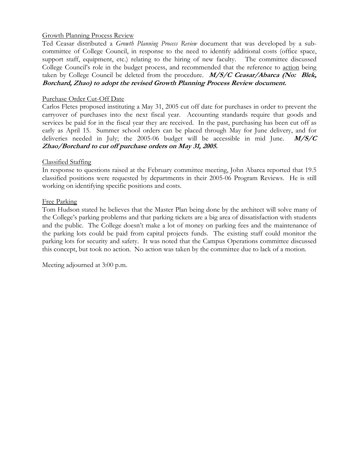## Growth Planning Process Review

Ted Ceasar distributed a *Growth Planning Process Review* document that was developed by a subcommittee of College Council, in response to the need to identify additional costs (office space, support staff, equipment, etc.) relating to the hiring of new faculty. The committee discussed College Council's role in the budget process, and recommended that the reference to action being taken by College Council be deleted from the procedure. **M/S/C Ceasar/Abarca (No: Blek, Borchard, Zhao) to adopt the revised Growth Planning Process Review document.** 

#### Purchase Order Cut-Off Date

Carlos Fletes proposed instituting a May 31, 2005 cut off date for purchases in order to prevent the carryover of purchases into the next fiscal year. Accounting standards require that goods and services be paid for in the fiscal year they are received. In the past, purchasing has been cut off as early as April 15. Summer school orders can be placed through May for June delivery, and for deliveries needed in July; the 2005-06 budget will be accessible in mid June. **M/S/C Zhao/Borchard to cut off purchase orders on May 31, 2005.** 

#### Classified Staffing

In response to questions raised at the February committee meeting, John Abarca reported that 19.5 classified positions were requested by departments in their 2005-06 Program Reviews. He is still working on identifying specific positions and costs.

#### Free Parking

Tom Hudson stated he believes that the Master Plan being done by the architect will solve many of the College's parking problems and that parking tickets are a big area of dissatisfaction with students and the public. The College doesn't make a lot of money on parking fees and the maintenance of the parking lots could be paid from capital projects funds. The existing staff could monitor the parking lots for security and safety. It was noted that the Campus Operations committee discussed this concept, but took no action. No action was taken by the committee due to lack of a motion.

Meeting adjourned at 3:00 p.m.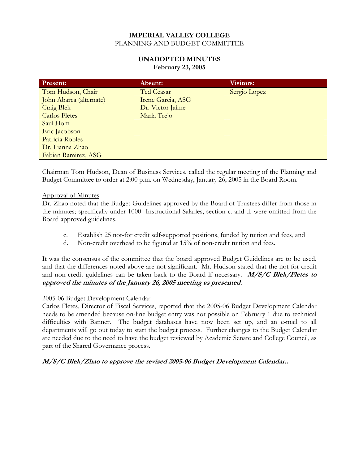## **UNADOPTED MINUTES February 23, 2005**

| <b>Present:</b>         | Absent:           | Visitors:    |
|-------------------------|-------------------|--------------|
| Tom Hudson, Chair       | Ted Ceasar        | Sergio Lopez |
| John Abarca (alternate) | Irene Garcia, ASG |              |
| <b>Craig Blek</b>       | Dr. Victor Jaime  |              |
| <b>Carlos Fletes</b>    | Maria Trejo       |              |
| Saul Hom                |                   |              |
| Eric Jacobson           |                   |              |
| Patricia Robles         |                   |              |
| Dr. Lianna Zhao         |                   |              |
| Fabian Ramirez, ASG     |                   |              |

Chairman Tom Hudson, Dean of Business Services, called the regular meeting of the Planning and Budget Committee to order at 2:00 p.m. on Wednesday, January 26, 2005 in the Board Room.

## Approval of Minutes

Dr. Zhao noted that the Budget Guidelines approved by the Board of Trustees differ from those in the minutes; specifically under 1000--Instructional Salaries, section c. and d. were omitted from the Board approved guidelines.

- c. Establish 25 not-for credit self-supported positions, funded by tuition and fees, and
- d. Non-credit overhead to be figured at 15% of non-credit tuition and fees.

It was the consensus of the committee that the board approved Budget Guidelines are to be used, and that the differences noted above are not significant. Mr. Hudson stated that the not-for credit and non-credit guidelines can be taken back to the Board if necessary. **M/S/C Blek/Fletes to approved the minutes of the January 26, 2005 meeting as presented.** 

#### 2005-06 Budget Development Calendar

Carlos Fletes, Director of Fiscal Services, reported that the 2005-06 Budget Development Calendar needs to be amended because on-line budget entry was not possible on February 1 due to technical difficulties with Banner. The budget databases have now been set up, and an e-mail to all departments will go out today to start the budget process. Further changes to the Budget Calendar are needed due to the need to have the budget reviewed by Academic Senate and College Council, as part of the Shared Governance process.

## **M/S/C Blek/Zhao to approve the revised 2005-06 Budget Development Calendar..**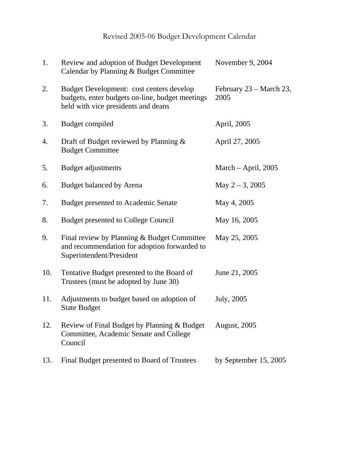# Revised 2005-06 Budget Development Calendar

| 1.  | Review and adoption of Budget Development<br>Calendar by Planning & Budget Committee                                               | November 9, 2004                |
|-----|------------------------------------------------------------------------------------------------------------------------------------|---------------------------------|
| 2.  | Budget Development: cost centers develop<br>budgets, enter budgets on-line, budget meetings<br>held with vice presidents and deans | February 23 – March 23,<br>2005 |
| 3.  | Budget compiled                                                                                                                    | April, 2005                     |
| 4.  | Draft of Budget reviewed by Planning &<br><b>Budget Committee</b>                                                                  | April 27, 2005                  |
| 5.  | Budget adjustments                                                                                                                 | March $-$ April, 2005           |
| 6.  | <b>Budget balanced by Arena</b>                                                                                                    | May $2 - 3$ , 2005              |
| 7.  | <b>Budget presented to Academic Senate</b>                                                                                         | May 4, 2005                     |
| 8.  | <b>Budget presented to College Council</b>                                                                                         | May 16, 2005                    |
| 9.  | Final review by Planning & Budget Committee<br>and recommendation for adoption forwarded to<br>Superintendent/President            | May 25, 2005                    |
| 10. | Tentative Budget presented to the Board of<br>Trustees (must be adopted by June 30)                                                | June 21, 2005                   |
| 11. | Adjustments to budget based on adoption of<br><b>State Budget</b>                                                                  | July, 2005                      |
| 12. | Review of Final Budget by Planning & Budget<br>Committee, Academic Senate and College<br>Council                                   | <b>August, 2005</b>             |
| 13. | Final Budget presented to Board of Trustees                                                                                        | by September $15, 2005$         |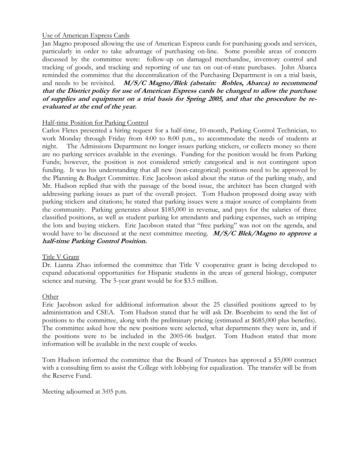## Use of American Express Cards

Jan Magno proposed allowing the use of American Express cards for purchasing goods and services, particularly in order to take advantage of purchasing on-line. Some possible areas of concern discussed by the committee were: follow-up on damaged merchandise, inventory control and tracking of goods, and tracking and reporting of use tax on out-of-state purchases. John Abarca reminded the committee that the decentralization of the Purchasing Department is on a trial basis, and needs to be revisited. **M/S/C Magno/Blek (abstain: Robles, Abarca) to recommend that the District policy for use of American Express cards be changed to allow the purchase of supplies and equipment on a trial basis for Spring 2005, and that the procedure be reevaluated at the end of the year.** 

## Half-time Position for Parking Control

Carlos Fletes presented a hiring request for a half-time, 10-month, Parking Control Technician, to work Monday through Friday from 4:00 to 8:00 p.m., to accommodate the needs of students at night. The Admissions Department no longer issues parking stickers, or collects money so there are no parking services available in the evenings. Funding for the position would be from Parking Funds; however, the position is not considered strictly categorical and is not contingent upon funding. It was his understanding that all new (non-categorical) positions need to be approved by the Planning & Budget Committee. Eric Jacobson asked about the status of the parking study, and Mr. Hudson replied that with the passage of the bond issue, the architect has been charged with addressing parking issues as part of the overall project. Tom Hudson proposed doing away with parking stickers and citations; he stated that parking issues were a major source of complaints from the community. Parking generates about \$185,000 in revenue, and pays for the salaries of three classified positions, as well as student parking lot attendants and parking expenses, such as striping the lots and buying stickers. Eric Jacobson stated that "free parking" was not on the agenda, and would have to be discussed at the next committee meeting. **M/S/C Blek/Magno to approve a half-time Parking Control Position.** 

## Title V Grant

Dr. Lianna Zhao informed the committee that Title V cooperative grant is being developed to expand educational opportunities for Hispanic students in the areas of general biology, computer science and nursing. The 5-year grant would be for \$3.5 million.

## Other

Eric Jacobson asked for additional information about the 25 classified positions agreed to by administration and CSEA. Tom Hudson stated that he will ask Dr. Boenheim to send the list of positions to the committee, along with the preliminary pricing (estimated at \$685,000 plus benefits). The committee asked how the new positions were selected, what departments they were in, and if the positions were to be included in the 2005-06 budget. Tom Hudson stated that more information will be available in the next couple of weeks.

Tom Hudson informed the committee that the Board of Trustees has approved a \$5,000 contract with a consulting firm to assist the College with lobbying for equalization. The transfer will be from the Reserve Fund.

Meeting adjourned at 3:05 p.m.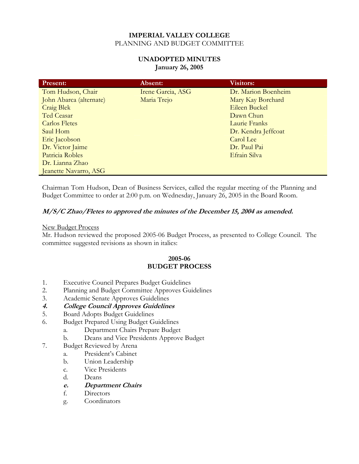## **UNADOPTED MINUTES January 26, 2005**

| <b>Present:</b>         | Absent:           | <b>Visitors:</b>    |
|-------------------------|-------------------|---------------------|
| Tom Hudson, Chair       | Irene Garcia, ASG | Dr. Marion Boenheim |
| John Abarca (alternate) | Maria Trejo       | Mary Kay Borchard   |
| Craig Blek              |                   | Eileen Buckel       |
| Ted Ceasar              |                   | Dawn Chun           |
| <b>Carlos Fletes</b>    |                   | Laurie Franks       |
| Saul Hom                |                   | Dr. Kendra Jeffcoat |
| Eric Jacobson           |                   | Carol Lee           |
| Dr. Victor Jaime        |                   | Dr. Paul Pai        |
| Patricia Robles         |                   | Efrain Silva        |
| Dr. Lianna Zhao         |                   |                     |
| Jeanette Navarro, ASG   |                   |                     |

Chairman Tom Hudson, Dean of Business Services, called the regular meeting of the Planning and Budget Committee to order at 2:00 p.m. on Wednesday, January 26, 2005 in the Board Room.

# **M/S/C Zhao/Fletes to approved the minutes of the December 15, 2004 as amended.**

#### New Budget Process

Mr. Hudson reviewed the proposed 2005-06 Budget Process, as presented to College Council. The committee suggested revisions as shown in italics:

## **2005-06 BUDGET PROCESS**

- 1. Executive Council Prepares Budget Guidelines
- 2. Planning and Budget Committee Approves Guidelines
- 3. Academic Senate Approves Guidelines
- **4. College Council Approves Guidelines**
- 5. Board Adopts Budget Guidelines
- 6. Budget Prepared Using Budget Guidelines
	- a. Department Chairs Prepare Budget
	- b. Deans and Vice Presidents Approve Budget
- 7. Budget Reviewed by Arena
	- a. President's Cabinet
	- b. Union Leadership
	- c. Vice Presidents
	- d. Deans
	- **e. Department Chairs**
	- f. Directors
	- g. Coordinators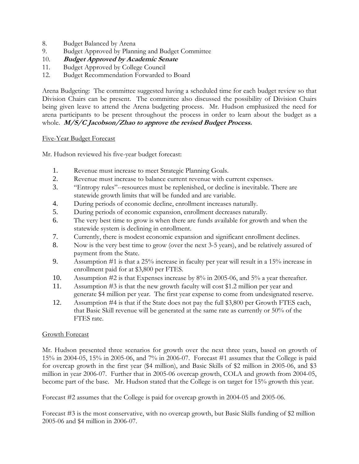- 8. Budget Balanced by Arena
- 9. Budget Approved by Planning and Budget Committee
- 10. **Budget Approved by Academic Senate**
- 11. Budget Approved by College Council
- 12. Budget Recommendation Forwarded to Board

Arena Budgeting: The committee suggested having a scheduled time for each budget review so that Division Chairs can be present. The committee also discussed the possibility of Division Chairs being given leave to attend the Arena budgeting process. Mr. Hudson emphasized the need for arena participants to be present throughout the process in order to learn about the budget as a whole. **M/S/C Jacobson/Zhao to approve the revised Budget Process.** 

## Five-Year Budget Forecast

Mr. Hudson reviewed his five-year budget forecast:

- 1. Revenue must increase to meet Strategic Planning Goals.
- 2. Revenue must increase to balance current revenue with current expenses.
- 3. "Entropy rules"--resources must be replenished, or decline is inevitable. There are statewide growth limits that will be funded and are variable.
- 4. During periods of economic decline, enrollment increases naturally.
- 5. During periods of economic expansion, enrollment decreases naturally.
- 6. The very best time to grow is when there are funds available for growth and when the statewide system is declining in enrollment.
- 7. Currently, there is modest economic expansion and significant enrollment declines.
- 8. Now is the very best time to grow (over the next 3-5 years), and be relatively assured of payment from the State.
- 9. Assumption #1 is that a 25% increase in faculty per year will result in a 15% increase in enrollment paid for at \$3,800 per FTES.
- 10. Assumption #2 is that Expenses increase by 8% in 2005-06, and 5% a year thereafter.
- 11. Assumption #3 is that the new growth faculty will cost \$1.2 million per year and generate \$4 million per year. The first year expense to come from undesignated reserve.
- 12. Assumption #4 is that if the State does not pay the full \$3,800 per Growth FTES each, that Basic Skill revenue will be generated at the same rate as currently or 50% of the FTES rate.

## Growth Forecast

Mr. Hudson presented three scenarios for growth over the next three years, based on growth of 15% in 2004-05, 15% in 2005-06, and 7% in 2006-07. Forecast #1 assumes that the College is paid for overcap growth in the first year (\$4 million), and Basic Skills of \$2 million in 2005-06, and \$3 million in year 2006-07. Further that in 2005-06 overcap growth, COLA and growth from 2004-05, become part of the base. Mr. Hudson stated that the College is on target for 15% growth this year.

Forecast #2 assumes that the College is paid for overcap growth in 2004-05 and 2005-06.

Forecast #3 is the most conservative, with no overcap growth, but Basic Skills funding of \$2 million 2005-06 and \$4 million in 2006-07.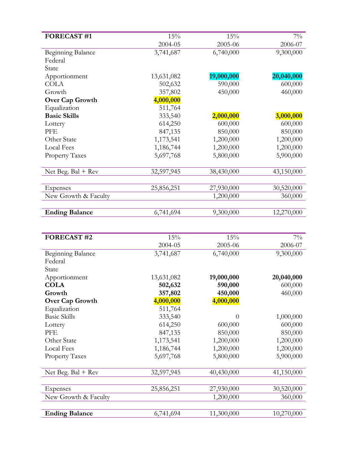| <b>FORECAST #1</b>                  | 15%        | 15%        | $7\%$      |
|-------------------------------------|------------|------------|------------|
|                                     | 2004-05    | 2005-06    | 2006-07    |
| <b>Beginning Balance</b><br>Federal | 3,741,687  | 6,740,000  | 9,300,000  |
| State                               |            |            |            |
| Apportionment                       | 13,631,082 | 19,000,000 | 20,040,000 |
| <b>COLA</b>                         | 502,632    | 590,000    | 600,000    |
| Growth                              | 357,802    | 450,000    | 460,000    |
| <b>Over Cap Growth</b>              | 4,000,000  |            |            |
| Equalization                        | 511,764    |            |            |
| <b>Basic Skills</b>                 | 333,540    | 2,000,000  | 3,000,000  |
| Lottery                             | 614,250    | 600,000    | 600,000    |
| PFE                                 | 847,135    | 850,000    | 850,000    |
| Other State                         | 1,173,541  | 1,200,000  | 1,200,000  |
| <b>Local Fees</b>                   | 1,186,744  | 1,200,000  | 1,200,000  |
| <b>Property Taxes</b>               | 5,697,768  | 5,800,000  | 5,900,000  |
| Net Beg. $Bal + Rev$                | 32,597,945 | 38,430,000 | 43,150,000 |
|                                     |            |            |            |
| Expenses                            | 25,856,251 | 27,930,000 | 30,520,000 |
| New Growth & Faculty                |            | 1,200,000  | 360,000    |
| <b>Ending Balance</b>               | 6,741,694  | 9,300,000  | 12,270,000 |
|                                     |            |            |            |
| <b>FORECAST #2</b>                  | 15%        | 15%        | $7\%$      |
|                                     | 2004-05    | 2005-06    | 2006-07    |
| <b>Beginning Balance</b>            | 3,741,687  | 6,740,000  | 9,300,000  |
| Federal                             |            |            |            |
| State                               |            |            |            |
| Apportionment                       | 13,631,082 | 19,000,000 | 20,040,000 |
| <b>COLA</b>                         | 502,632    | 590,000    | 600,000    |
| Growth                              | 357,802    | 450,000    | 460,000    |
| <b>Over Cap Growth</b>              | 4,000,000  | 4,000,000  |            |
| Equalization                        | 511,764    |            |            |
| <b>Basic Skills</b>                 | 333,540    | $\theta$   | 1,000,000  |
| Lottery                             | 614,250    | 600,000    | 600,000    |
| PFE                                 | 847,135    | 850,000    | 850,000    |
| Other State                         | 1,173,541  | 1,200,000  | 1,200,000  |
| <b>Local Fees</b>                   | 1,186,744  | 1,200,000  | 1,200,000  |
| <b>Property Taxes</b>               | 5,697,768  | 5,800,000  | 5,900,000  |
| Net Beg. $Bal + Rev$                | 32,597,945 | 40,430,000 | 41,150,000 |
|                                     |            |            |            |
| Expenses                            | 25,856,251 | 27,930,000 | 30,520,000 |
| New Growth & Faculty                |            | 1,200,000  | 360,000    |
| <b>Ending Balance</b>               | 6,741,694  | 11,300,000 | 10,270,000 |
|                                     |            |            |            |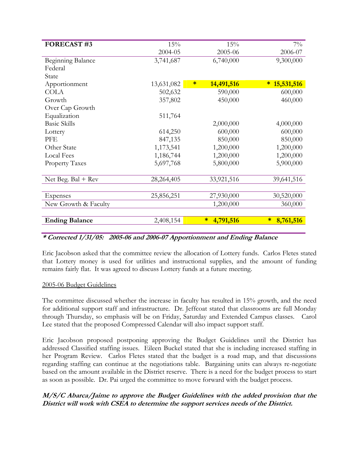| <b>FORECAST#3</b>     | 15%        | 15%                  | $7\%$               |
|-----------------------|------------|----------------------|---------------------|
|                       | 2004-05    | 2005-06              | 2006-07             |
| Beginning Balance     | 3,741,687  | 6,740,000            | 9,300,000           |
| Federal               |            |                      |                     |
| State                 |            |                      |                     |
| Apportionment         | 13,631,082 | $\ast$<br>14,491,516 | 15,531,516<br>*     |
| <b>COLA</b>           | 502,632    | 590,000              | 600,000             |
| Growth                | 357,802    | 450,000              | 460,000             |
| Over Cap Growth       |            |                      |                     |
| Equalization          | 511,764    |                      |                     |
| <b>Basic Skills</b>   |            | 2,000,000            | 4,000,000           |
| Lottery               | 614,250    | 600,000              | 600,000             |
| PFE                   | 847,135    | 850,000              | 850,000             |
| Other State           | 1,173,541  | 1,200,000            | 1,200,000           |
| <b>Local Fees</b>     | 1,186,744  | 1,200,000            | 1,200,000           |
| <b>Property Taxes</b> | 5,697,768  | 5,800,000            | 5,900,000           |
|                       |            |                      |                     |
| Net Beg. $Bal + Rev$  | 28,264,405 | 33,921,516           | 39,641,516          |
|                       |            |                      |                     |
| Expenses              | 25,856,251 | 27,930,000           | 30,520,000          |
| New Growth & Faculty  |            | 1,200,000            | 360,000             |
|                       |            |                      |                     |
| <b>Ending Balance</b> | 2,408,154  | 4,791,516<br>$\ast$  | 8,761,516<br>$\ast$ |

## **\* Corrected 1/31/05: 2005-06 and 2006-07 Apportionment and Ending Balance**

Eric Jacobson asked that the committee review the allocation of Lottery funds. Carlos Fletes stated that Lottery money is used for utilities and instructional supplies, and the amount of funding remains fairly flat. It was agreed to discuss Lottery funds at a future meeting.

## 2005-06 Budget Guidelines

The committee discussed whether the increase in faculty has resulted in 15% growth, and the need for additional support staff and infrastructure. Dr. Jeffcoat stated that classrooms are full Monday through Thursday, so emphasis will be on Friday, Saturday and Extended Campus classes. Carol Lee stated that the proposed Compressed Calendar will also impact support staff.

Eric Jacobson proposed postponing approving the Budget Guidelines until the District has addressed Classified staffing issues. Eileen Buckel stated that she is including increased staffing in her Program Review. Carlos Fletes stated that the budget is a road map, and that discussions regarding staffing can continue at the negotiations table. Bargaining units can always re-negotiate based on the amount available in the District reserve. There is a need for the budget process to start as soon as possible. Dr. Pai urged the committee to move forward with the budget process.

## **M/S/C Abarca/Jaime to approve the Budget Guidelines with the added provision that the District will work with CSEA to determine the support services needs of the District.**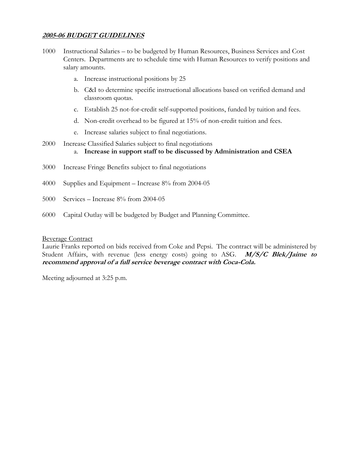# **2005-06 BUDGET GUIDELINES**

- 1000 Instructional Salaries to be budgeted by Human Resources, Business Services and Cost Centers. Departments are to schedule time with Human Resources to verify positions and salary amounts.
	- a. Increase instructional positions by 25
	- b. C&I to determine specific instructional allocations based on verified demand and classroom quotas.
	- c. Establish 25 not-for-credit self-supported positions, funded by tuition and fees.
	- d. Non-credit overhead to be figured at 15% of non-credit tuition and fees.
	- e. Increase salaries subject to final negotiations.
- 2000 Increase Classified Salaries subject to final negotiations a. **Increase in support staff to be discussed by Administration and CSEA**
- 3000 Increase Fringe Benefits subject to final negotiations
- 4000 Supplies and Equipment Increase 8% from 2004-05
- 5000 Services Increase 8% from 2004-05
- 6000 Capital Outlay will be budgeted by Budget and Planning Committee.

#### Beverage Contract

Laurie Franks reported on bids received from Coke and Pepsi. The contract will be administered by Student Affairs, with revenue (less energy costs) going to ASG. **M/S/C Blek/Jaime to recommend approval of a full service beverage contract with Coca-Cola.** 

Meeting adjourned at 3:25 p.m.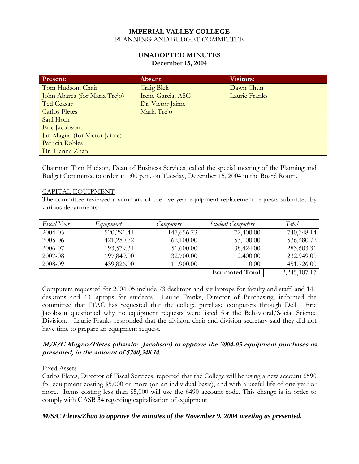#### **UNADOPTED MINUTES December 15, 2004**

| <b>Present:</b>               | Absent:           | <b>Visitors:</b> |
|-------------------------------|-------------------|------------------|
| Tom Hudson, Chair             | <b>Craig Blek</b> | Dawn Chun        |
| John Abarca (for Maria Trejo) | Irene Garcia, ASG | Laurie Franks    |
| Ted Ceasar                    | Dr. Victor Jaime  |                  |
| <b>Carlos Fletes</b>          | Maria Trejo       |                  |
| Saul Hom                      |                   |                  |
| Eric Jacobson                 |                   |                  |
| Jan Magno (for Victor Jaime)  |                   |                  |
| Patricia Robles               |                   |                  |
| Dr. Lianna Zhao               |                   |                  |

Chairman Tom Hudson, Dean of Business Services, called the special meeting of the Planning and Budget Committee to order at 1:00 p.m. on Tuesday, December 15, 2004 in the Board Room.

## CAPITAL EQUIPMENT

The committee reviewed a summary of the five year equipment replacement requests submitted by various departments:

| Fiscal Year | Equipment  | Computers  | <b>Student Computers</b> | Total        |
|-------------|------------|------------|--------------------------|--------------|
| 2004-05     | 520,291.41 | 147,656.73 | 72,400.00                | 740,348.14   |
| 2005-06     | 421,280.72 | 62,100.00  | 53,100.00                | 536,480.72   |
| 2006-07     | 193,579.31 | 51,600.00  | 38,424.00                | 283,603.31   |
| 2007-08     | 197,849.00 | 32,700.00  | 2,400.00                 | 232,949.00   |
| 2008-09     | 439,826.00 | 11,900.00  | 0.00                     | 451,726.00   |
|             |            |            | <b>Estimated Total</b>   | 2,245,107.17 |

Computers requested for 2004-05 include 73 desktops and six laptops for faculty and staff, and 141 desktops and 43 laptops for students. Laurie Franks, Director of Purchasing, informed the committee that ITAC has requested that the college purchase computers through Dell. Eric Jacobson questioned why no equipment requests were listed for the Behavioral/Social Science Division. Laurie Franks responded that the division chair and division secretary said they did not have time to prepare an equipment request.

## **M/S/C Magno/Fletes (abstain: Jacobson) to approve the 2004-05 equipment purchases as presented, in the amount of \$740,348.14.**

## Fixed Assets

Carlos Fletes, Director of Fiscal Services, reported that the College will be using a new account 6590 for equipment costing \$5,000 or more (on an individual basis), and with a useful life of one year or more. Items costing less than \$5,000 will use the 6490 account code. This change is in order to comply with GASB 34 regarding capitalization of equipment.

# *M/S/C Fletes/Zhao to approve the minutes of the November 9, 2004 meeting as presented.*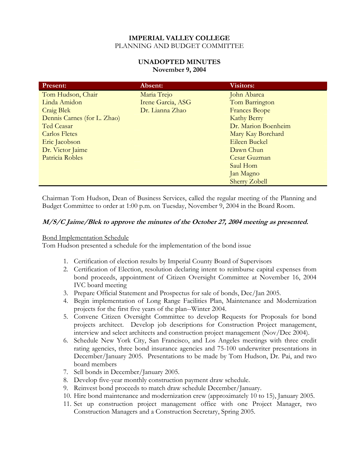## **UNADOPTED MINUTES November 9, 2004**

| <b>Present:</b>             | Absent:           | <b>Visitors:</b>     |
|-----------------------------|-------------------|----------------------|
| Tom Hudson, Chair           | Maria Trejo       | John Abarca          |
| Linda Amidon                | Irene Garcia, ASG | Tom Barrington       |
| Craig Blek                  | Dr. Lianna Zhao   | <b>Frances Beope</b> |
| Dennis Carnes (for L. Zhao) |                   | <b>Kathy Berry</b>   |
| Ted Ceasar                  |                   | Dr. Marion Boenheim  |
| <b>Carlos Fletes</b>        |                   | Mary Kay Borchard    |
| Eric Jacobson               |                   | Eileen Buckel        |
| Dr. Victor Jaime            |                   | Dawn Chun            |
| Patricia Robles             |                   | Cesar Guzman         |
|                             |                   | Saul Hom             |
|                             |                   | Jan Magno            |
|                             |                   | <b>Sherry Zobell</b> |

Chairman Tom Hudson, Dean of Business Services, called the regular meeting of the Planning and Budget Committee to order at 1:00 p.m. on Tuesday, November 9, 2004 in the Board Room.

## **M/S/C Jaime/Blek to approve the minutes of the October 27, 2004 meeting as presented.**

## Bond Implementation Schedule

Tom Hudson presented a schedule for the implementation of the bond issue

- 1. Certification of election results by Imperial County Board of Supervisors
- 2. Certification of Election, resolution declaring intent to reimburse capital expenses from bond proceeds, appointment of Citizen Oversight Committee at November 16, 2004 IVC board meeting
- 3. Prepare Official Statement and Prospectus for sale of bonds, Dec/Jan 2005.
- 4. Begin implementation of Long Range Facilities Plan, Maintenance and Modernization projects for the first five years of the plan--Winter 2004.
- 5. Convene Citizen Oversight Committee to develop Requests for Proposals for bond projects architect. Develop job descriptions for Construction Project management, interview and select architects and construction project management (Nov/Dec 2004).
- 6. Schedule New York City, San Francisco, and Los Angeles meetings with three credit rating agencies, three bond insurance agencies and 75-100 underwriter presentations in December/January 2005. Presentations to be made by Tom Hudson, Dr. Pai, and two board members
- 7. Sell bonds in December/January 2005.
- 8. Develop five-year monthly construction payment draw schedule.
- 9. Reinvest bond proceeds to match draw schedule December/January.
- 10. Hire bond maintenance and modernization crew (approximately 10 to 15), January 2005.
- 11. Set up construction project management office with one Project Manager, two Construction Managers and a Construction Secretary, Spring 2005.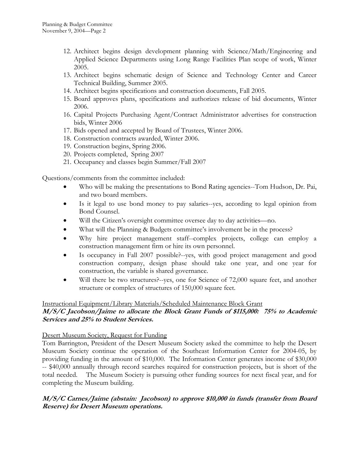- 12. Architect begins design development planning with Science/Math/Engineering and Applied Science Departments using Long Range Facilities Plan scope of work, Winter 2005.
- 13. Architect begins schematic design of Science and Technology Center and Career Technical Building, Summer 2005.
- 14. Architect begins specifications and construction documents, Fall 2005.
- 15. Board approves plans, specifications and authorizes release of bid documents, Winter 2006.
- 16. Capital Projects Purchasing Agent/Contract Administrator advertises for construction bids, Winter 2006
- 17. Bids opened and accepted by Board of Trustees, Winter 2006.
- 18. Construction contracts awarded, Winter 2006.
- 19. Construction begins, Spring 2006.
- 20. Projects completed, Spring 2007
- 21. Occupancy and classes begin Summer/Fall 2007

Questions/comments from the committee included:

- Who will be making the presentations to Bond Rating agencies--Tom Hudson, Dr. Pai, and two board members.
- Is it legal to use bond money to pay salaries--yes, according to legal opinion from Bond Counsel.
- Will the Citizen's oversight committee oversee day to day activities—no.
- What will the Planning & Budgets committee's involvement be in the process?
- Why hire project management staff--complex projects, college can employ a construction management firm or hire its own personnel.
- Is occupancy in Fall 2007 possible?--yes, with good project management and good construction company, design phase should take one year, and one year for construction, the variable is shared governance.
- Will there be two structures?--yes, one for Science of 72,000 square feet, and another structure or complex of structures of 150,000 square feet.

#### Instructional Equipment/Library Materials/Scheduled Maintenance Block Grant

## **M/S/C Jacobson/Jaime to allocate the Block Grant Funds of \$115,000: 75% to Academic Services and 25% to Student Services.**

#### Desert Museum Society, Request for Funding

Tom Barrington, President of the Desert Museum Society asked the committee to help the Desert Museum Society continue the operation of the Southeast Information Center for 2004-05, by providing funding in the amount of \$10,000. The Information Center generates income of \$30,000 -- \$40,000 annually through record searches required for construction projects, but is short of the total needed. The Museum Society is pursuing other funding sources for next fiscal year, and for completing the Museum building.

## **M/S/C Carnes/Jaime (abstain: Jacobson) to approve \$10,000 in funds (transfer from Board Reserve) for Desert Museum operations.**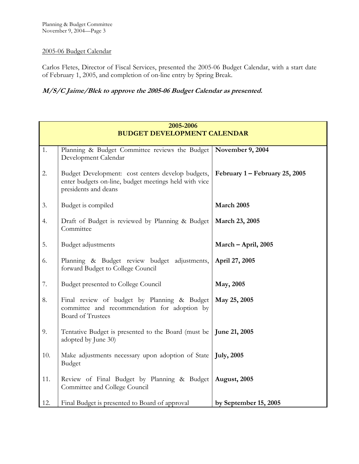## 2005-06 Budget Calendar

Carlos Fletes, Director of Fiscal Services, presented the 2005-06 Budget Calendar, with a start date of February 1, 2005, and completion of on-line entry by Spring Break.

# **M/S/C Jaime/Blek to approve the 2005-06 Budget Calendar as presented.**

|     | 2005-2006                                                                                                                          |                                |  |  |
|-----|------------------------------------------------------------------------------------------------------------------------------------|--------------------------------|--|--|
|     | <b>BUDGET DEVELOPMENT CALENDAR</b>                                                                                                 |                                |  |  |
| 1.  | Planning & Budget Committee reviews the Budget   November 9, 2004<br>Development Calendar                                          |                                |  |  |
| 2.  | Budget Development: cost centers develop budgets,<br>enter budgets on-line, budget meetings held with vice<br>presidents and deans | February 1 – February 25, 2005 |  |  |
| 3.  | Budget is compiled                                                                                                                 | March 2005                     |  |  |
| 4.  | Draft of Budget is reviewed by Planning & Budget<br>Committee                                                                      | March 23, 2005                 |  |  |
| 5.  | Budget adjustments                                                                                                                 | March - April, 2005            |  |  |
| 6.  | Planning & Budget review budget adjustments,<br>forward Budget to College Council                                                  | April 27, 2005                 |  |  |
| 7.  | Budget presented to College Council                                                                                                | May, 2005                      |  |  |
| 8.  | Final review of budget by Planning & Budget<br>committee and recommendation for adoption by<br><b>Board of Trustees</b>            | May 25, 2005                   |  |  |
| 9.  | Tentative Budget is presented to the Board (must be<br>adopted by June 30)                                                         | June 21, 2005                  |  |  |
| 10. | Make adjustments necessary upon adoption of State<br><b>Budget</b>                                                                 | <b>July</b> , 2005             |  |  |
| 11. | Review of Final Budget by Planning & Budget<br>Committee and College Council                                                       | <b>August</b> , 2005           |  |  |
| 12. | Final Budget is presented to Board of approval                                                                                     | by September 15, 2005          |  |  |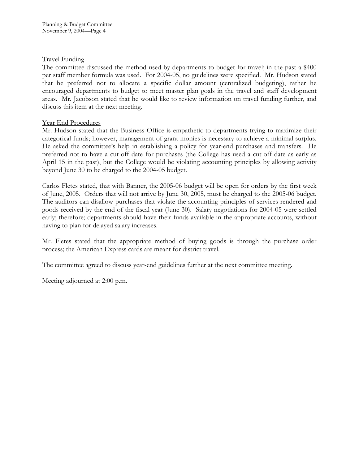## Travel Funding

The committee discussed the method used by departments to budget for travel; in the past a \$400 per staff member formula was used. For 2004-05, no guidelines were specified. Mr. Hudson stated that he preferred not to allocate a specific dollar amount (centralized budgeting), rather he encouraged departments to budget to meet master plan goals in the travel and staff development areas. Mr. Jacobson stated that he would like to review information on travel funding further, and discuss this item at the next meeting.

## Year End Procedures

Mr. Hudson stated that the Business Office is empathetic to departments trying to maximize their categorical funds; however, management of grant monies is necessary to achieve a minimal surplus. He asked the committee's help in establishing a policy for year-end purchases and transfers. He preferred not to have a cut-off date for purchases (the College has used a cut-off date as early as April 15 in the past), but the College would be violating accounting principles by allowing activity beyond June 30 to be charged to the 2004-05 budget.

Carlos Fletes stated, that with Banner, the 2005-06 budget will be open for orders by the first week of June, 2005. Orders that will not arrive by June 30, 2005, must be charged to the 2005-06 budget. The auditors can disallow purchases that violate the accounting principles of services rendered and goods received by the end of the fiscal year (June 30). Salary negotiations for 2004-05 were settled early; therefore; departments should have their funds available in the appropriate accounts, without having to plan for delayed salary increases.

Mr. Fletes stated that the appropriate method of buying goods is through the purchase order process; the American Express cards are meant for district travel.

The committee agreed to discuss year-end guidelines further at the next committee meeting.

Meeting adjourned at 2:00 p.m.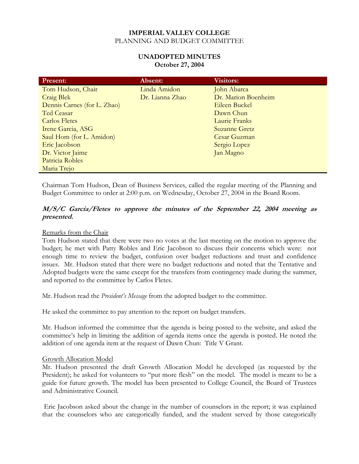## **UNADOPTED MINUTES October 27, 2004**

| <b>Present:</b>             | Absent:         | <b>Visitors:</b>    |
|-----------------------------|-----------------|---------------------|
| Tom Hudson, Chair           | Linda Amidon    | John Abarca         |
| Craig Blek                  | Dr. Lianna Zhao | Dr. Marion Boenheim |
| Dennis Carnes (for L. Zhao) |                 | Eileen Buckel       |
| Ted Ceasar                  |                 | Dawn Chun           |
| Carlos Fletes               |                 | Laurie Franks       |
| Irene Garcia, ASG           |                 | Suzanne Gretz       |
| Saul Hom (for L. Amidon)    |                 | Cesar Guzman        |
| Eric Jacobson               |                 | Sergio Lopez        |
| Dr. Victor Jaime            |                 | Jan Magno           |
| Patricia Robles             |                 |                     |
| Maria Trejo                 |                 |                     |

Chairman Tom Hudson, Dean of Business Services, called the regular meeting of the Planning and Budget Committee to order at 2:00 p.m. on Wednesday, October 27, 2004 in the Board Room.

## **M/S/C Garcia/Fletes to approve the minutes of the September 22, 2004 meeting as presented.**

## Remarks from the Chair

Tom Hudson stated that there were two no votes at the last meeting on the motion to approve the budget; he met with Patty Robles and Eric Jacobson to discuss their concerns which were: not enough time to review the budget, confusion over budget reductions and trust and confidence issues. Mr. Hudson stated that there were no budget reductions and noted that the Tentative and Adopted budgets were the same except for the transfers from contingency made during the summer, and reported to the committee by Carlos Fletes.

Mr. Hudson read the *President's Message* from the adopted budget to the committee.

He asked the committee to pay attention to the report on budget transfers.

Mr. Hudson informed the committee that the agenda is being posted to the website, and asked the committee's help in limiting the addition of agenda items once the agenda is posted. He noted the addition of one agenda item at the request of Dawn Chun: Title V Grant.

#### Growth Allocation Model

Mr. Hudson presented the draft Growth Allocation Model he developed (as requested by the President); he asked for volunteers to "put more flesh" on the model. The model is meant to be a guide for future growth. The model has been presented to College Council, the Board of Trustees and Administrative Council.

 Eric Jacobson asked about the change in the number of counselors in the report; it was explained that the counselors who are categorically funded, and the student served by those categorically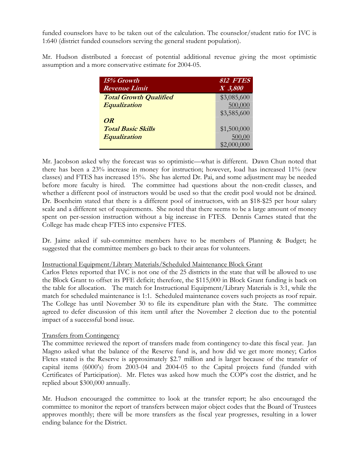funded counselors have to be taken out of the calculation. The counselor/student ratio for IVC is 1:640 (district funded counselors serving the general student population).

Mr. Hudson distributed a forecast of potential additional revenue giving the most optimistic assumption and a more conservative estimate for 2004-05.

| 15% Growth                    | 812 FTES    |
|-------------------------------|-------------|
| <b>Revenue Limit</b>          | $X$ 3,800   |
| <b>Total Growth Qualified</b> | \$3,085,600 |
| Equalization                  | 500,000     |
|                               | \$3,585,600 |
| OR                            |             |
| <b>Total Basic Skills</b>     | \$1,500,000 |
| Equalization                  | 500,00      |
|                               | \$2,000,000 |

Mr. Jacobson asked why the forecast was so optimistic—what is different. Dawn Chun noted that there has been a 23% increase in money for instruction; however, load has increased 11% (new classes) and FTES has increased 15%. She has alerted Dr. Pai, and some adjustment may be needed before more faculty is hired. The committee had questions about the non-credit classes, and whether a different pool of instructors would be used so that the credit pool would not be drained. Dr. Boenheim stated that there is a different pool of instructors, with an \$18-\$25 per hour salary scale and a different set of requirements. She noted that there seems to be a large amount of money spent on per-session instruction without a big increase in FTES. Dennis Carnes stated that the College has made cheap FTES into expensive FTES.

Dr. Jaime asked if sub-committee members have to be members of Planning & Budget; he suggested that the committee members go back to their areas for volunteers.

## Instructional Equipment/Library Materials/Scheduled Maintenance Block Grant

Carlos Fletes reported that IVC is not one of the 25 districts in the state that will be allowed to use the Block Grant to offset its PFE deficit; therefore, the \$115,000 in Block Grant funding is back on the table for allocation. The match for Instructional Equipment/Library Materials is 3:1, while the match for scheduled maintenance is 1:1. Scheduled maintenance covers such projects as roof repair. The College has until November 30 to file its expenditure plan with the State. The committee agreed to defer discussion of this item until after the November 2 election due to the potential impact of a successful bond issue.

## Transfers from Contingency

The committee reviewed the report of transfers made from contingency to-date this fiscal year. Jan Magno asked what the balance of the Reserve fund is, and how did we get more money; Carlos Fletes stated is the Reserve is approximately \$2.7 million and is larger because of the transfer of capital items (6000's) from 2003-04 and 2004-05 to the Capital projects fund (funded with Certificates of Participation). Mr. Fletes was asked how much the COP's cost the district, and he replied about \$300,000 annually.

Mr. Hudson encouraged the committee to look at the transfer report; he also encouraged the committee to monitor the report of transfers between major object codes that the Board of Trustees approves monthly; there will be more transfers as the fiscal year progresses, resulting in a lower ending balance for the District.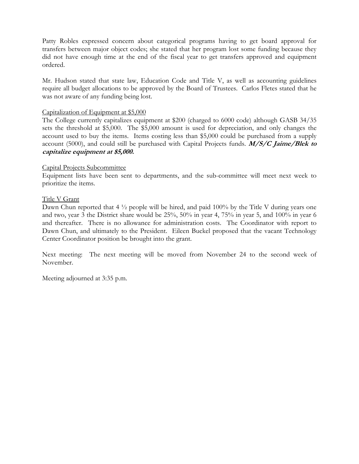Patty Robles expressed concern about categorical programs having to get board approval for transfers between major object codes; she stated that her program lost some funding because they did not have enough time at the end of the fiscal year to get transfers approved and equipment ordered.

Mr. Hudson stated that state law, Education Code and Title V, as well as accounting guidelines require all budget allocations to be approved by the Board of Trustees. Carlos Fletes stated that he was not aware of any funding being lost.

#### Capitalization of Equipment at \$5,000

The College currently capitalizes equipment at \$200 (charged to 6000 code) although GASB 34/35 sets the threshold at \$5,000. The \$5,000 amount is used for depreciation, and only changes the account used to buy the items. Items costing less than \$5,000 could be purchased from a supply account (5000), and could still be purchased with Capital Projects funds. **M/S/C Jaime/Blek to capitalize equipment at \$5,000.** 

#### Capital Projects Subcommittee

Equipment lists have been sent to departments, and the sub-committee will meet next week to prioritize the items.

#### Title V Grant

Dawn Chun reported that  $4\frac{1}{2}$  people will be hired, and paid  $100\%$  by the Title V during years one and two, year 3 the District share would be 25%, 50% in year 4, 75% in year 5, and 100% in year 6 and thereafter. There is no allowance for administration costs. The Coordinator with report to Dawn Chun, and ultimately to the President. Eileen Buckel proposed that the vacant Technology Center Coordinator position be brought into the grant.

Next meeting: The next meeting will be moved from November 24 to the second week of November.

Meeting adjourned at 3:35 p.m.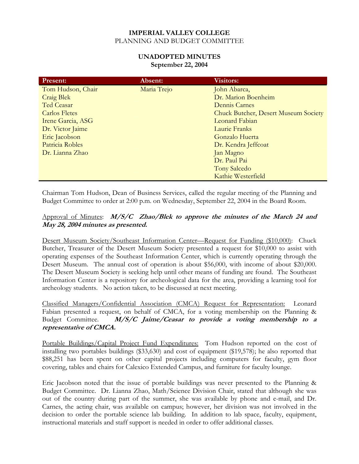## **UNADOPTED MINUTES September 22, 2004**

| <b>Present:</b>      | Absent:     | <b>Visitors:</b>                            |
|----------------------|-------------|---------------------------------------------|
| Tom Hudson, Chair    | Maria Trejo | John Abarca,                                |
| <b>Craig Blek</b>    |             | Dr. Marion Boenheim                         |
| Ted Ceasar           |             | Dennis Carnes                               |
| <b>Carlos Fletes</b> |             | <b>Chuck Butcher, Desert Museum Society</b> |
| Irene Garcia, ASG    |             | Leonard Fabian                              |
| Dr. Victor Jaime     |             | Laurie Franks                               |
| Eric Jacobson        |             | Gonzalo Huerta                              |
| Patricia Robles      |             | Dr. Kendra Jeffcoat                         |
| Dr. Lianna Zhao      |             | Jan Magno                                   |
|                      |             | Dr. Paul Pai                                |
|                      |             | <b>Tony Salcedo</b>                         |
|                      |             | Kathie Westerfield                          |

Chairman Tom Hudson, Dean of Business Services, called the regular meeting of the Planning and Budget Committee to order at 2:00 p.m. on Wednesday, September 22, 2004 in the Board Room.

## Approval of Minutes: **M/S/C Zhao/Blek to approve the minutes of the March 24 and May 28, 2004 minutes as presented.**

Desert Museum Society/Southeast Information Center—Request for Funding (\$10,000): Chuck Butcher, Treasurer of the Desert Museum Society presented a request for \$10,000 to assist with operating expenses of the Southeast Information Center, which is currently operating through the Desert Museum. The annual cost of operation is about \$56,000, with income of about \$20,000. The Desert Museum Society is seeking help until other means of funding are found. The Southeast Information Center is a repository for archeological data for the area, providing a learning tool for archeology students. No action taken, to be discussed at next meeting.

Classified Managers/Confidential Association (CMCA) Request for Representation: Leonard Fabian presented a request, on behalf of CMCA, for a voting membership on the Planning & Budget Committee. **M/S/C Jaime/Ceasar to provide a voting membership to a representative of CMCA.** 

Portable Buildings/Capital Project Fund Expenditures: Tom Hudson reported on the cost of installing two portables buildings (\$33,630) and cost of equipment (\$19,578); he also reported that \$88,251 has been spent on other capital projects including computers for faculty, gym floor covering, tables and chairs for Calexico Extended Campus, and furniture for faculty lounge.

Eric Jacobson noted that the issue of portable buildings was never presented to the Planning & Budget Committee. Dr. Lianna Zhao, Math/Science Division Chair, stated that although she was out of the country during part of the summer, she was available by phone and e-mail, and Dr. Carnes, the acting chair, was available on campus; however, her division was not involved in the decision to order the portable science lab building. In addition to lab space, faculty, equipment, instructional materials and staff support is needed in order to offer additional classes.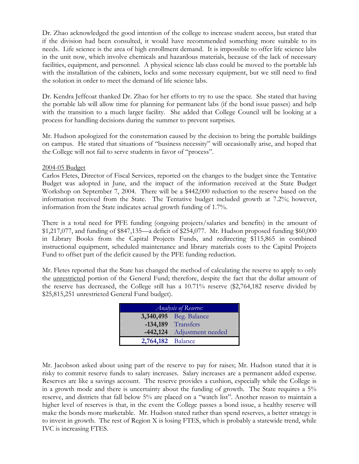Dr. Zhao acknowledged the good intention of the college to increase student access, but stated that if the division had been consulted, it would have recommended something more suitable to its needs. Life science is the area of high enrollment demand. It is impossible to offer life science labs in the unit now, which involve chemicals and hazardous materials, because of the lack of necessary facilities, equipment, and personnel. A physical science lab class could be moved to the portable lab with the installation of the cabinets, locks and some necessary equipment, but we still need to find the solution in order to meet the demand of life science labs.

Dr. Kendra Jeffcoat thanked Dr. Zhao for her efforts to try to use the space. She stated that having the portable lab will allow time for planning for permanent labs (if the bond issue passes) and help with the transition to a much larger facility. She added that College Council will be looking at a process for handling decisions during the summer to prevent surprises.

Mr. Hudson apologized for the consternation caused by the decision to bring the portable buildings on campus. He stated that situations of "business necessity" will occasionally arise, and hoped that the College will not fail to serve students in favor of "process".

#### 2004-05 Budget

Carlos Fletes, Director of Fiscal Services, reported on the changes to the budget since the Tentative Budget was adopted in June, and the impact of the information received at the State Budget Workshop on September 7, 2004. There will be a \$442,000 reduction to the reserve based on the information received from the State. The Tentative budget included growth at 7.2%; however, information from the State indicates actual growth funding of 1.7%.

There is a total need for PFE funding (ongoing projects/salaries and benefits) in the amount of \$1,217,077, and funding of \$847,135—a deficit of \$254,077. Mr. Hudson proposed funding \$60,000 in Library Books from the Capital Projects Funds, and redirecting \$115,865 in combined instructional equipment, scheduled maintenance and library materials costs to the Capital Projects Fund to offset part of the deficit caused by the PFE funding reduction.

Mr. Fletes reported that the State has changed the method of calculating the reserve to apply to only the unrestricted portion of the General Fund; therefore, despite the fact that the dollar amount of the reserve has decreased, the College still has a 10.71% reserve (\$2,764,182 reserve divided by \$25,815,251 unrestricted General Fund budget).

| <i>Analysis of Reserve:</i> |                               |  |
|-----------------------------|-------------------------------|--|
|                             | <b>3,340,495</b> Beg. Balance |  |
|                             | -134,189 Transfers            |  |
|                             | -442,124 Adjustment needed    |  |
| 2,764,182 Balance           |                               |  |

Mr. Jacobson asked about using part of the reserve to pay for raises; Mr. Hudson stated that it is risky to commit reserve funds to salary increases. Salary increases are a permanent added expense. Reserves are like a savings account. The reserve provides a cushion, especially while the College is in a growth mode and there is uncertainty about the funding of growth. The State requires a 5% reserve, and districts that fall below 5% are placed on a "watch list". Another reason to maintain a higher level of reserves is that, in the event the College passes a bond issue, a healthy reserve will make the bonds more marketable. Mr. Hudson stated rather than spend reserves, a better strategy is to invest in growth. The rest of Region X is losing FTES, which is probably a statewide trend, while IVC is increasing FTES.